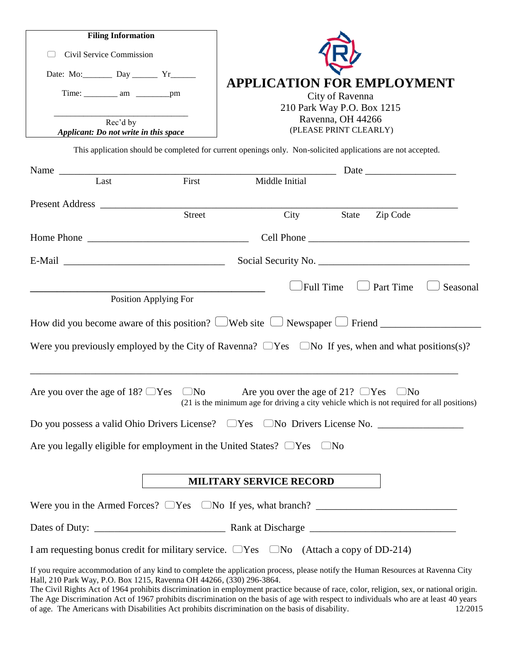| <b>Filing Information</b>                                                          |                                                                                                                                                                                                                                                                            |
|------------------------------------------------------------------------------------|----------------------------------------------------------------------------------------------------------------------------------------------------------------------------------------------------------------------------------------------------------------------------|
| Civil Service Commission                                                           |                                                                                                                                                                                                                                                                            |
| Date: Mo: _________ Day ________ Yr_______                                         | <b>APPLICATION FOR EMPLOYMENT</b>                                                                                                                                                                                                                                          |
|                                                                                    | City of Ravenna<br>210 Park Way P.O. Box 1215                                                                                                                                                                                                                              |
| Rec'd by<br>Applicant: Do not write in this space                                  | Ravenna, OH 44266<br>(PLEASE PRINT CLEARLY)                                                                                                                                                                                                                                |
|                                                                                    | This application should be completed for current openings only. Non-solicited applications are not accepted.                                                                                                                                                               |
|                                                                                    |                                                                                                                                                                                                                                                                            |
| Name Last First                                                                    |                                                                                                                                                                                                                                                                            |
|                                                                                    |                                                                                                                                                                                                                                                                            |
| Street                                                                             | City<br>State<br>Zip Code                                                                                                                                                                                                                                                  |
|                                                                                    |                                                                                                                                                                                                                                                                            |
|                                                                                    | Social Security No.                                                                                                                                                                                                                                                        |
| Position Applying For                                                              | Full Time<br>$\Box$ Part Time<br>Seasonal                                                                                                                                                                                                                                  |
|                                                                                    | How did you become aware of this position? $\Box$ Web site $\Box$ Newspaper $\Box$ Friend $\Box$<br>Were you previously employed by the City of Ravenna? $\Box$ Yes $\Box$ No If yes, when and what positions(s)?                                                          |
| Are you over the age of 18? $\Box$ Yes $\Box$ No                                   | Are you over the age of 21? $\Box$ Yes<br>$\Box$ No<br>(21 is the minimum age for driving a city vehicle which is not required for all positions)                                                                                                                          |
|                                                                                    |                                                                                                                                                                                                                                                                            |
| Are you legally eligible for employment in the United States? $\Box$ Yes $\Box$ No |                                                                                                                                                                                                                                                                            |
|                                                                                    | <b>MILITARY SERVICE RECORD</b>                                                                                                                                                                                                                                             |
|                                                                                    | Were you in the Armed Forces? $\Box$ Yes $\Box$ No If yes, what branch? $\Box$                                                                                                                                                                                             |
|                                                                                    |                                                                                                                                                                                                                                                                            |
|                                                                                    | I am requesting bonus credit for military service. $\Box$ Yes $\Box$ No (Attach a copy of DD-214)                                                                                                                                                                          |
| Hall, 210 Park Way, P.O. Box 1215, Ravenna OH 44266, (330) 296-3864.               | If you require accommodation of any kind to complete the application process, please notify the Human Resources at Ravenna City<br>The Civil Rights Act of 1964 prohibits discrimination in employment practice because of race, color, religion, sex, or national origin. |

The Age Discrimination Act of 1967 prohibits discrimination on the basis of age with respect to individuals who are at least 40 years of age. The Americans with Disabilities Act prohibits discrimination on the basis of dis of age. The Americans with Disabilities Act prohibits discrimination on the basis of disability.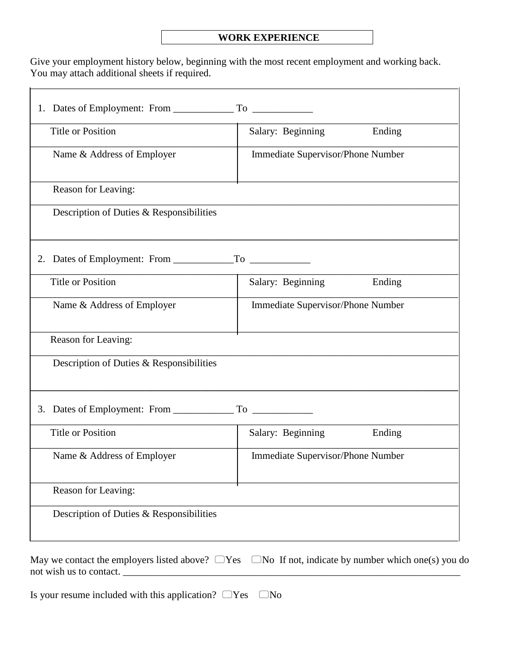## **WORK EXPERIENCE**

Give your employment history below, beginning with the most recent employment and working back. You may attach additional sheets if required.

\_\_\_\_\_\_\_\_\_\_\_\_\_\_\_\_\_\_\_\_\_\_\_\_\_\_\_\_\_\_\_\_\_\_\_\_\_\_\_\_\_\_\_\_\_\_\_\_\_\_\_\_\_\_\_\_\_\_\_\_\_\_\_\_\_\_\_\_\_\_\_\_\_\_\_\_\_\_\_\_\_\_\_\_\_

| <b>Title or Position</b>                 | Salary: Beginning<br>Ending       |  |  |  |  |  |
|------------------------------------------|-----------------------------------|--|--|--|--|--|
| Name & Address of Employer               | Immediate Supervisor/Phone Number |  |  |  |  |  |
| Reason for Leaving:                      |                                   |  |  |  |  |  |
| Description of Duties & Responsibilities |                                   |  |  |  |  |  |
|                                          |                                   |  |  |  |  |  |
| <b>Title or Position</b>                 | Ending<br>Salary: Beginning       |  |  |  |  |  |
| Name & Address of Employer               | Immediate Supervisor/Phone Number |  |  |  |  |  |
| Reason for Leaving:                      |                                   |  |  |  |  |  |
| Description of Duties & Responsibilities |                                   |  |  |  |  |  |
|                                          |                                   |  |  |  |  |  |
| <b>Title or Position</b>                 | Salary: Beginning<br>Ending       |  |  |  |  |  |
| Name & Address of Employer               | Immediate Supervisor/Phone Number |  |  |  |  |  |
| Reason for Leaving:                      |                                   |  |  |  |  |  |
| Description of Duties & Responsibilities |                                   |  |  |  |  |  |

May we contact the employers listed above?  $\Box$  Yes  $\Box$  No If not, indicate by number which one(s) you do not wish us to contact.

Is your resume included with this application?  $\Box$  Yes  $\Box$  No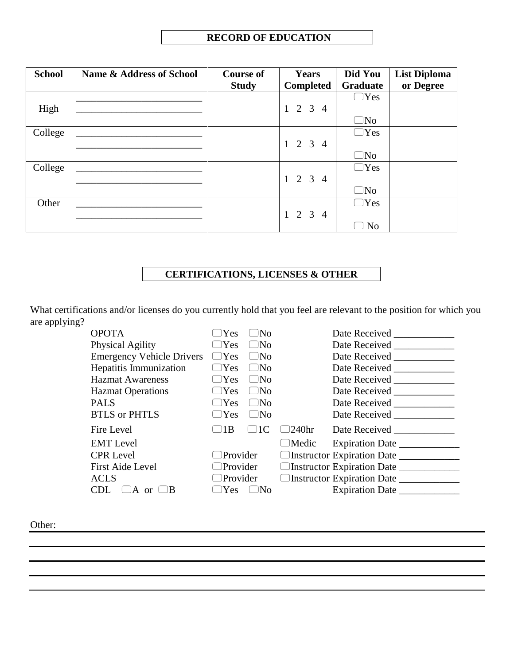| <b>School</b> | <b>Name &amp; Address of School</b> | <b>Course of</b> | <b>Years</b>                          | Did You        | <b>List Diploma</b> |
|---------------|-------------------------------------|------------------|---------------------------------------|----------------|---------------------|
|               |                                     | <b>Study</b>     | <b>Completed</b>                      | Graduate       | or Degree           |
|               |                                     |                  |                                       | $\Box$ Yes     |                     |
| High          |                                     |                  | 2 3<br>$\mathbf{1}$<br>$\overline{4}$ |                |                     |
|               |                                     |                  |                                       | $\Box$ No      |                     |
| College       |                                     |                  |                                       | $\Box$ Yes     |                     |
|               |                                     |                  | $1 \t2 \t3 \t4$                       |                |                     |
|               |                                     |                  |                                       | $\Box$ No      |                     |
| College       |                                     |                  |                                       | $\Box$ Yes     |                     |
|               |                                     |                  | $1 \t2 \t3 \t4$                       |                |                     |
|               |                                     |                  |                                       | $\Box$ No      |                     |
| Other         |                                     |                  |                                       | $\Box$ Yes     |                     |
|               |                                     |                  | $1 \t2 \t3 \t4$                       |                |                     |
|               |                                     |                  |                                       | N <sub>o</sub> |                     |

## **CERTIFICATIONS, LICENSES & OTHER**

What certifications and/or licenses do you currently hold that you feel are relevant to the position for which you are applying?

| <b>OPOTA</b>                           | $\neg$ Yes      | $\Box$ No                                  |                                         | Date Received _____________  |  |
|----------------------------------------|-----------------|--------------------------------------------|-----------------------------------------|------------------------------|--|
| Physical Agility                       | $\Box$ Yes      | $\Box$ No                                  |                                         | Date Received _____________  |  |
| <b>Emergency Vehicle Drivers</b>       | $\Box$ Yes      | $\Box$ No                                  |                                         | Date Received ______________ |  |
| Hepatitis Immunization                 | $\Box$ Yes      | $\Box$ No                                  |                                         | Date Received ____________   |  |
| <b>Hazmat Awareness</b>                | $\Box$ Yes      | $\Box$ No                                  |                                         | Date Received _____________  |  |
| <b>Hazmat Operations</b>               | $\Box$ Yes      | $\Box$ No                                  |                                         | Date Received ____________   |  |
| <b>PALS</b>                            | $\Box$ Yes      | $\Box$ No                                  |                                         | Date Received _____________  |  |
| <b>BTLS</b> or PHTLS                   | $\Box$ Yes      | $\Box$ No                                  |                                         | Date Received ______________ |  |
| Fire Level                             | 1B              | 1 <sup>C</sup><br>$\overline{\phantom{a}}$ | $\Box$ 240hr                            | Date Received                |  |
| <b>EMT</b> Level                       |                 |                                            | $\Box$ Medic                            | Expiration Date              |  |
| <b>CPR</b> Level                       | $\Box$ Provider |                                            | □Instructor Expiration Date ___________ |                              |  |
| <b>First Aide Level</b>                | $\Box$ Provider |                                            | □Instructor Expiration Date ___________ |                              |  |
| <b>ACLS</b>                            | $\Box$ Provider |                                            | □Instructor Expiration Date __________  |                              |  |
| CDL.<br>$\Box A$ or $\Box$<br>$\Box B$ | $\Box$ Yes      | $\Box$ No                                  |                                         |                              |  |

Other: